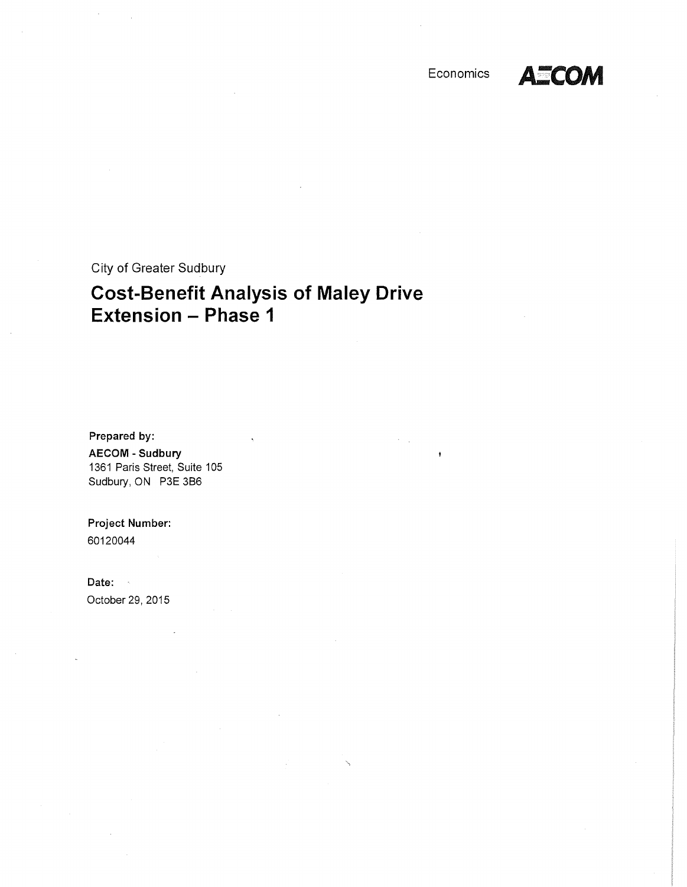

City of Greater Sudbury

# **Cost-Benefit Analysis of Maley Drive Extension - Phase 1**

Prepared by: AECOM - Sudbury 1361 Paris Street, Suite 105 Sudbury, ON P3E 386

Project Number: 60120044

Date: October 29, 2015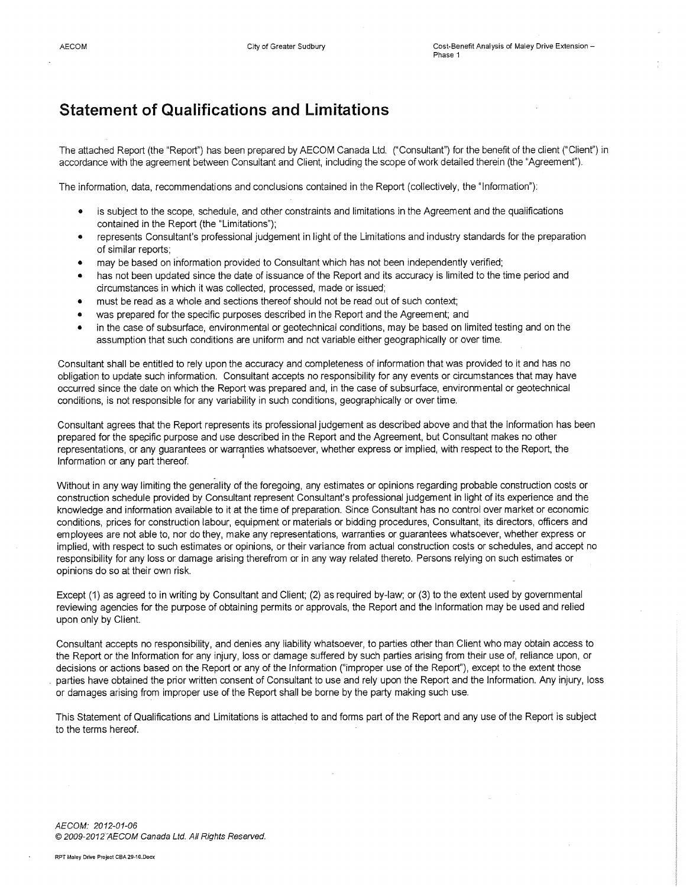## **Statement of Qualifications and Limitations**

The attached Report (the "Report") has been prepared by AECOM Canada Ltd. ("Consultant") for the benefit of the client ("Client") in accordance with the agreement between Consultant and Client, including the scope of work detailed therein (the "Agreement").

The information, data, recommendations and conclusions contained in the Report (collectively, the "Information"):

- is subject to the scope, schedule, and other constraints and limitations in the Agreement and the qualifications contained in the Report (the "Limitations");
- represents Consultant's professional judgement in light of the Limitations and industry standards for the preparation of similar reports;
- may be based on information provided to Consultant which has not been independently verified;
- has not been updated since the date of issuance of the Report and its accuracy is limited to the time period and circumstances in which it was collected, processed, made or issued;
- must be read as a whole and sections thereof should not be read out of such context;
- was prepared for the specific purposes described in the Report and the Agreement; and
- in the case of subsurface, environmental or geotechnical conditions, may be based on limited testing and on the assumption that such conditions are uniform and not variable either geographically or over time.

Consultant shall be entitled to rely upon the accuracy and completeness of information that was provided to it and has no obligation to update such information. Consultant accepts no responsibility for any events or circumstances that may have occurred since the date on which the Report was prepared and, in the case of subsurface, environmental or geotechnical conditions, is not responsible for any variability in such conditions, geographically or over time.

Consultant agrees that the Report represents its professional judgement as described above and that the Information has been prepared for the specific purpose and use described in the Report and the Agreement, but Consultant makes no other representations, or any guarantees or warranties whatsoever, whether express or implied, with respect to the Report, the Information or any part thereof. <sup>1</sup>

Without in any way limiting the generality of the foregoing, any estimates or opinions regarding probable construction costs or construction schedule provided by Consultant represent Consultant's professional judgement in light of its experience and the knowledge and information available to it at the time of preparation. Since Consultant has no control over market or economic conditions, prices for construction labour, equipment or materials or bidding procedures, Consultant, its directors, officers and employees are not able to, nor do they, make any representations, warranties or guarantees whatsoever, whether express or implied, with respect to such estimates or opinions, or their variance from actual construction costs or schedules, and accept no responsibility for any loss or damage arising therefrom or in any way related thereto. Persons relying on such estimates or opinions do so at their own risk.

Except (1) as agreed to in writing by Consultant and Client; (2) as required by-law; or (3) to the extent used by governmental reviewing agencies for the purpose of obtaining permits or approvals, the Report and the Information may be used and relied upon only by Client.

Consultant accepts no responsibility, and denies any liability whatsoever, to parties other than Client who may obtain access to the Report or the Information for any injury, loss or damage suffered by such parties arising from their use of, reliance upon, or decisions or actions based on the Report or any of the Information ("improper use of the Report"), except to the extent those parties have obtained the prior written consent of Consultant to use and rely upon the Report and the Information. Any injury, loss or damages arising from improper use of the Report shall be borne by the party making such use.

This Statement of Qualifications and Limitations is attached to and forms part of the Report and any use of the Report is subject to the terms hereof.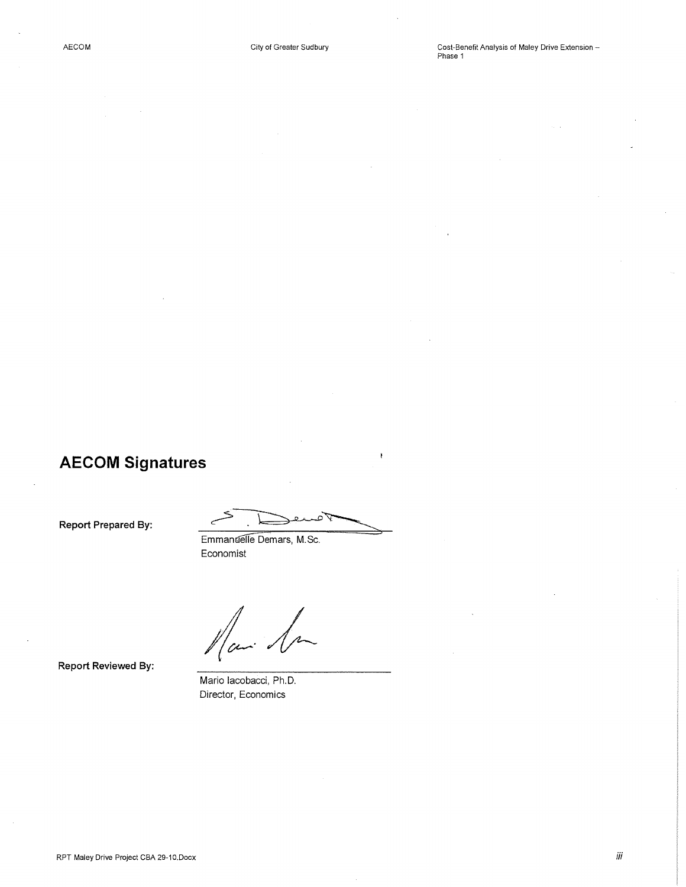# **AECOM Signatures**

**Report Prepared By:** 

 $\epsilon$ 

Emmanuelle Demars, M.Sc. Economist

Mai Sa

**Report Reviewed By:** 

Mario lacobacci, Ph.D. Director, Economics

iii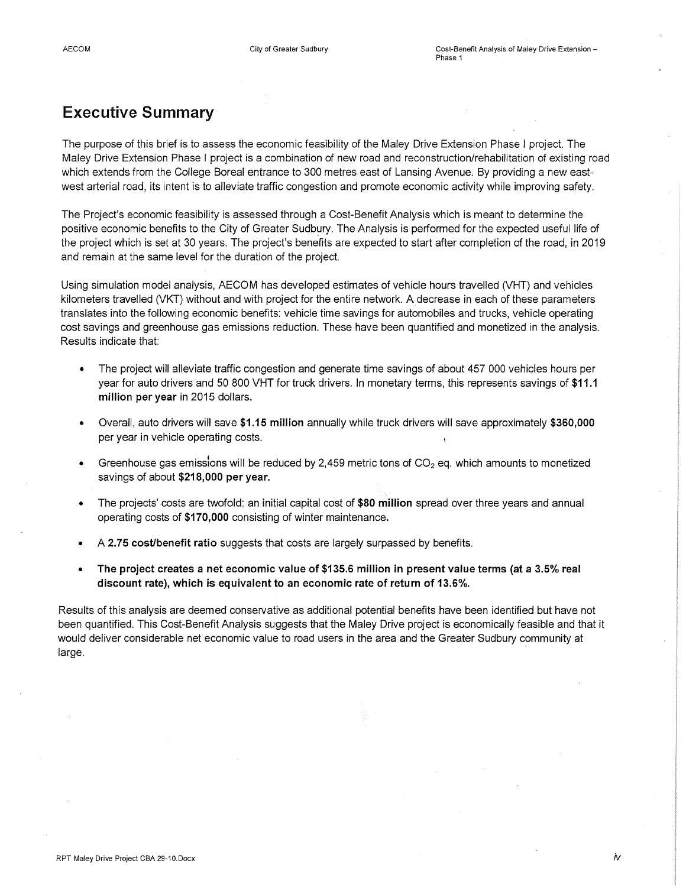## **Executive Summary**

The purpose of this brief is to assess the economic feasibility of the Maley Drive Extension Phase I project. The Maley Drive Extension Phase I project is a combination of new road and reconstruction/rehabilitation of existing road which extends from the College Boreal entrance to 300 metres east of Lansing Avenue. By providing a new eastwest arterial road, its intent is to alleviate traffic congestion and promote economic activity while improving safety.

The Project's economic feasibility is assessed through a Cost-Benefit Analysis which is meant to determine the positive economic benefits to the City of Greater Sudbury. The Analysis is performed for the expected useful life of the project which is set at 30 years. The project's benefits are expected to start after completion of the road, in 2019 and remain at the same level for the duration of the project.

Using simulation model analysis, AECOM has developed estimates of vehicle hours travelled (VHT) and vehicles kilometers travelled (VKT) without and with project for the entire network. A decrease in each of these parameters translates into the following economic benefits: vehicle time savings for automobiles and trucks, vehicle operating cost savings and greenhouse gas emissions reduction. These have been quantified and monetized in the analysis. Results indicate that:

- The project will alleviate traffic congestion and generate time savings of about 457 000 vehicles hours per year for auto drivers and 50 800 VHT for truck drivers. In monetary terms, this represents savings of **\$11.1 million per year** in 2015 dollars.
- Overall, auto drivers will save **\$1.15 million** annually while truck drivers will save approximately **\$360,000**  per year in vehicle operating costs.
- Greenhouse gas emissions will be reduced by 2,459 metric tons of  $CO<sub>2</sub>$  eq. which amounts to monetized savings of about **\$218,000 per year.**
- The projects' costs are twofold: an initial capital cost of **\$80 million** spread over three years and annual operating costs of **\$170,000** consisting of winter maintenance.
- A **2. 75 cost/benefit ratio** suggests that costs are largely surpassed by benefits.
- **The project creates a net economic value of \$135.6 million in present value terms (at a 3.5% real discount rate), which is equivalent to an economic rate of return of 13.6%.**

Results of this analysis are deemed conservative as additional potential benefits have been identified but have not been quantified. This Cost-Benefit Analysis suggests that the Maley Drive project is economically feasible and that it would deliver considerable net economic value to road users in the area and the Greater Sudbury community at large.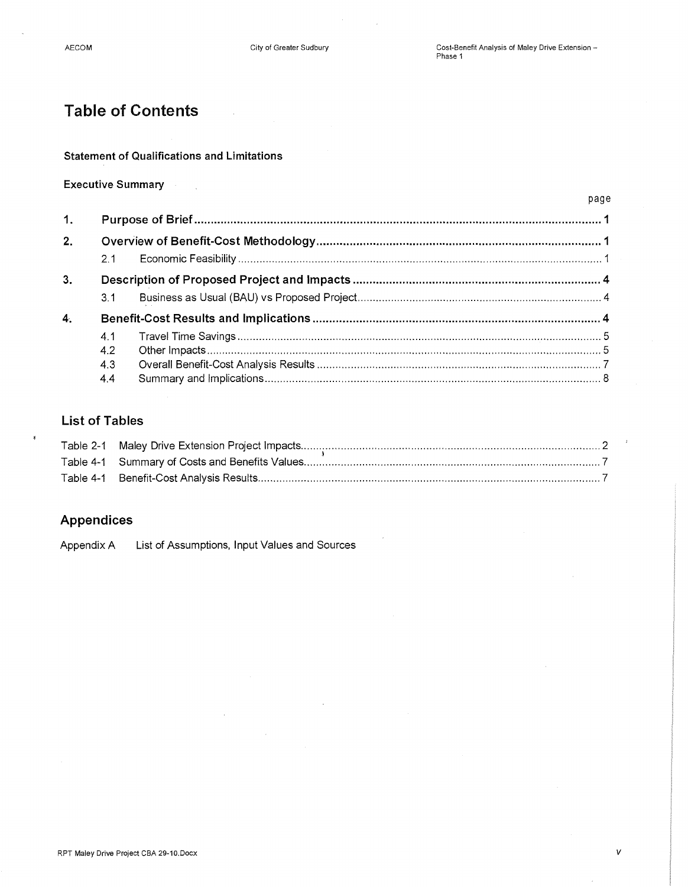## **Table of Contents**

#### **Statement of Qualifications and Limitations**

### **Executive Summary**

|                |     |  | page |
|----------------|-----|--|------|
| 1.             |     |  |      |
| 2.             |     |  |      |
|                | 2.1 |  |      |
| 3.             |     |  |      |
|                | 3.1 |  |      |
| 4 <sub>1</sub> |     |  |      |
|                | 4.1 |  |      |
|                | 4.2 |  |      |
|                | 4.3 |  |      |
|                | 4.4 |  |      |

### **List of Tables**

### **Appendices**

Appendix A List of Assumptions, Input Values and Sources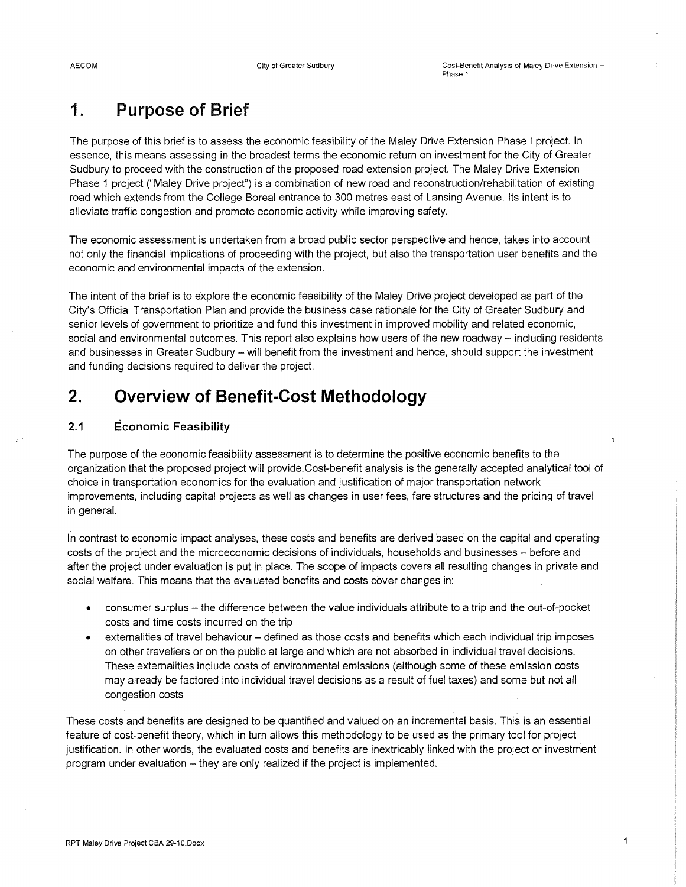# **1. Purpose of Brief**

The purpose of this brief is to assess the economic feasibility of the Maley Drive Extension Phase I project. In essence, this means assessing in the broadest terms the economic return on investment for the City of Greater Sudbury to proceed with the construction of the proposed road extension project. The Maley Drive Extension Phase 1 project ("Maley Drive project") is a combination of new road and reconstruction/rehabilitation of existing road which extends from the College Boreal entrance to 300 metres east of Lansing Avenue. Its intent is to alleviate traffic congestion and promote economic activity while improving safety.

The economic assessment is undertaken from a broad public sector perspective and hence, takes into account not only the financial implications of proceeding with the project, but also the transportation user benefits and the economic and environmental impacts of the extension.

The intent of the brief is to explore the economic feasibility of the Maley Drive project developed as part of the City's Official Transportation Plan and provide the business case rationale for the City of Greater Sudbury and senior levels of government to prioritize and fund this investment in improved mobility and related economic, social and environmental outcomes. This report also explains how users of the new roadway- including residents and businesses in Greater Sudbury- will benefit from the investment and hence, should support the investment and funding decisions required to deliver the project.

## **2. Overview of Benefit-Cost Methodology**

### **2.1 Economic Feasibility**

The purpose of the economic feasibility assessment is to determine the positive economic benefits to the organization that the proposed project will provide. Cost-benefit analysis is the generally accepted analytical tool of choice in transportation economics for the evaluation and justification of major transportation network improvements, including capital projects as well as changes in user fees, fare structures and the pricing of travel in general.

In contrast to economic impact analyses, these costs and benefits are derived based on the capital and operating costs of the project and the microeconomic decisions of individuals, households and businesses - before and after the project under evaluation is put in place. The scope of impacts covers all resulting changes in private and social welfare. This means that the evaluated benefits and costs cover changes in:

- consumer surplus the difference between the value individuals attribute to a trip and the out-of-pocket costs and time costs incurred on the trip
- externalities of travel behaviour defined as those costs and benefits which each individual trip imposes on other travellers or on the public at large and which are not absorbed in individual travel decisions. These externalities include costs of environmental emissions (although some of these emission costs may already be factored into individual travel decisions as a result of fuel taxes) and some but not all congestion costs

These costs and benefits are designed to be quantified and valued on an incremental basis. This is an essential feature of cost-benefit theory, which in turn allows this methodology to be used as the primary tool for project justification. In other words, the evaluated costs and benefits are inextricably linked with the project or investment program under evaluation - they are only realized if the project is implemented.

1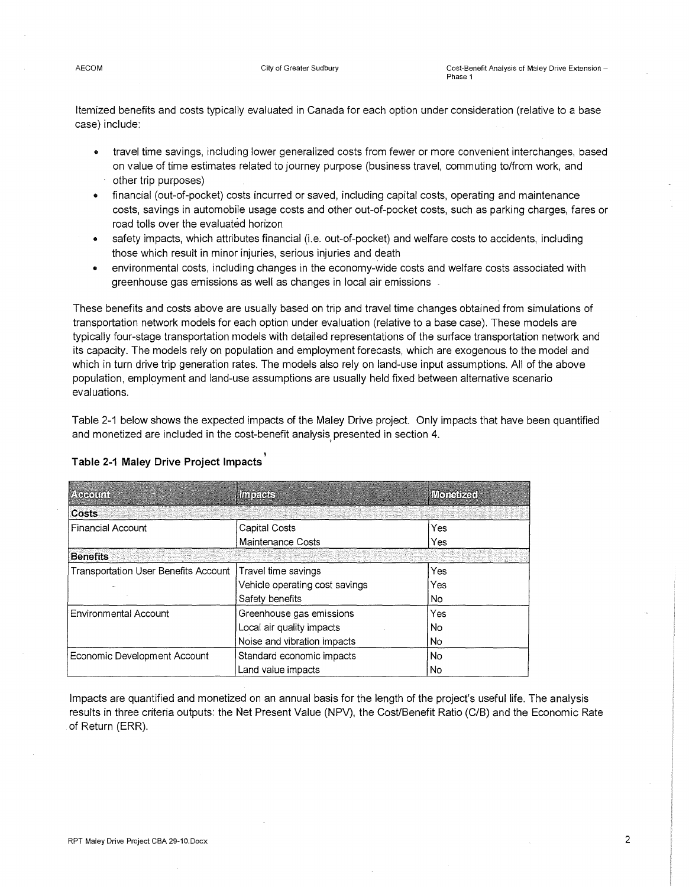Itemized benefits and costs typically evaluated in Canada for each option under consideration (relative to a base case) include:

- travel time savings, including lower generalized costs from fewer or more convenient interchanges, based on value of time estimates related to journey purpose (business travel, commuting to/from work, and other trip purposes)
- financial (out-of-pocket) costs incurred or saved, including capital costs, operating and maintenance costs, savings in automobile usage costs and other out-of-pocket costs, such as parking charges, fares or road tolls over the evaluated horizon
- safety impacts, which attributes financial (i.e. out-of-pocket) and welfare costs to accidents, including those which result in minor injuries, serious injuries and death
- environmental costs, including changes in the economy-wide costs and welfare costs associated with greenhouse gas emissions as well as changes in local air emissions

These benefits and costs above are usually based on trip and travel time changes obtained from simulations of transportation network models for each option under evaluation (relative to a base case). These models are typically four-stage transportation models with detailed representations of the surface transportation network and its capacity. The models rely on population and employment forecasts, which are exogenous to the model and which in turn drive trip generation rates. The models also rely on land-use input assumptions. All of the above population, employment and land-use assumptions are usually held fixed between alternative scenario evaluations.

Table 2-1 below shows the expected impacts of the Maley Drive project. Only impacts that have been quantified and monetized are included in the cost-benefit analysis presented in section 4.

| 20000000                                    | <b>THERES</b>                  | <b>Illoneized</b> |
|---------------------------------------------|--------------------------------|-------------------|
| Costs                                       |                                |                   |
| <b>Financial Account</b>                    | Capital Costs                  | Yes               |
|                                             | Maintenance Costs              | Yes               |
| <b>Benefits</b>                             |                                |                   |
| <b>Transportation User Benefits Account</b> | Travel time savings            | Yes               |
|                                             | Vehicle operating cost savings | Yes               |
|                                             | Safety benefits                | No.               |
| Environmental Account                       | Greenhouse gas emissions       | Yes               |
|                                             | Local air quality impacts      | No.               |
|                                             | Noise and vibration impacts    | No                |
| Economic Development Account                | Standard economic impacts      | No                |
|                                             | Land value impacts             | No                |

### l **Table 2-1 Maley Drive Project Impacts**

Impacts are quantified and monetized on an annual basis for the length of the project's useful life. The analysis results in three criteria outputs: the Net Present Value (NPV), the Cost/Benefit Ratio (C/B) and the Economic Rate of Return (ERR).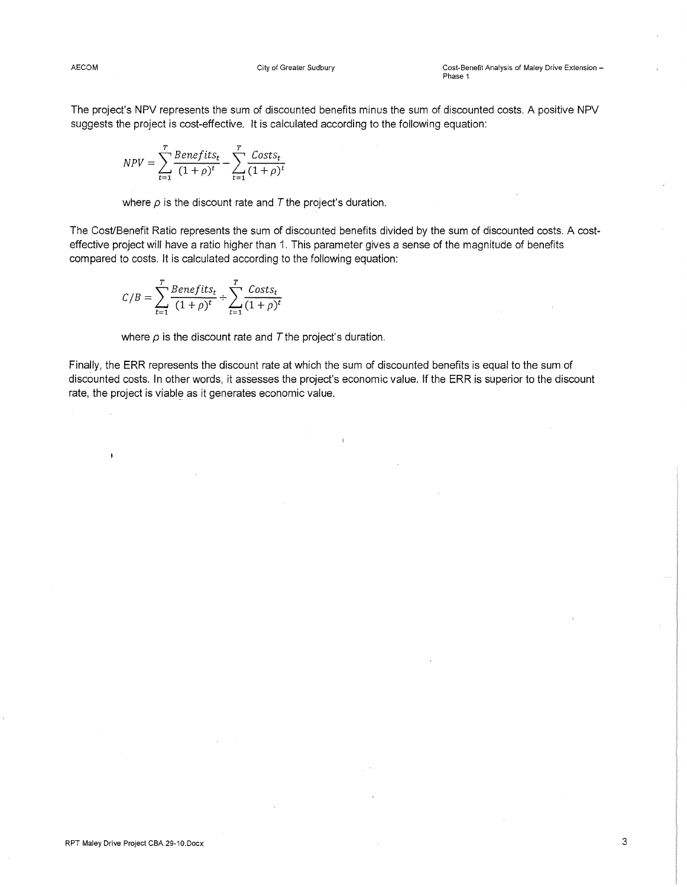The project's NPV represents the sum of discounted benefits minus the sum of discounted costs. A positive NPV suggests the project is cost-effective. It is calculated according to the following equation:

$$
NPV = \sum_{t=1}^{T} \frac{Benefits_t}{(1+\rho)^t} - \sum_{t=1}^{T} \frac{Costs_t}{(1+\rho)^t}
$$

where  $\rho$  is the discount rate and  $T$  the project's duration.

The Cost/Benefit Ratio represents the sum of discounted benefits divided by the sum of discounted costs. A costeffective project will have a ratio higher than 1. This parameter gives a sense of the magnitude of benefits compared to costs. It is calculated according to the following equation:

$$
C/B = \sum_{t=1}^{T} \frac{Benefits_t}{(1+\rho)^t} \div \sum_{t=1}^{T} \frac{Costs_t}{(1+\rho)^t}
$$

where  $\rho$  is the discount rate and  $T$  the project's duration.

Finally, the ERR represents the discount rate at which the sum of discounted benefits is equal to the sum of discounted costs. In other words, it assesses the project's economic value. If the ERR is superior to the discount rate, the project is viable as it generates economic value.

ķ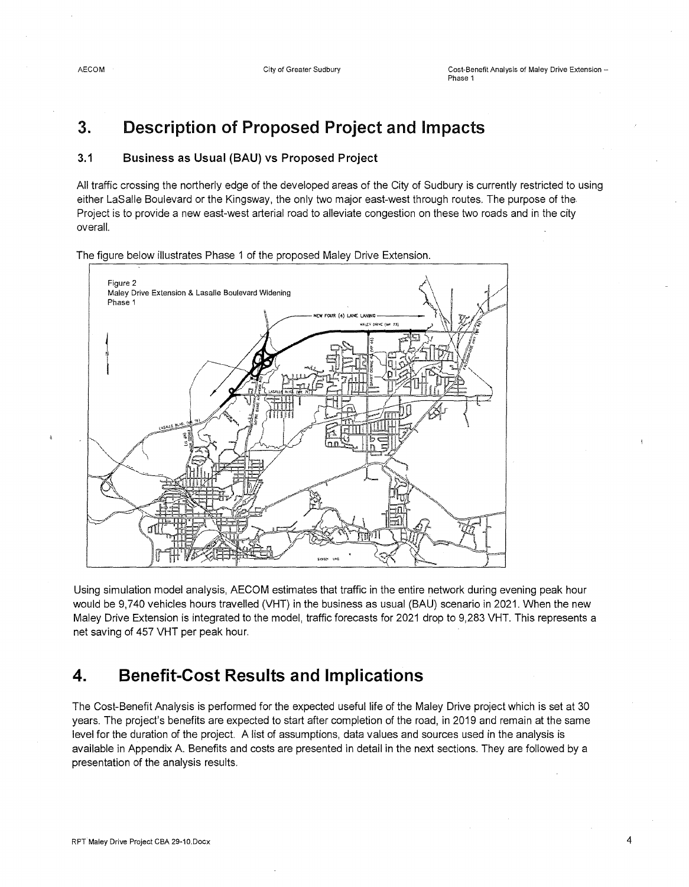# **3. Description of Proposed Project and Impacts**

### **3.1 Business as Usual (BAU) vs Proposed Project**

All traffic crossing the northerly edge of the developed areas of the City of Sudbury is currently restricted to using either LaSalle Boulevard or the Kingsway, the only two major east-west through routes. The purpose of the Project is to provide a new east-west arterial road to alleviate congestion on these two roads and in the city overall.

The figure below illustrates Phase 1 of the proposed Maley Drive Extension.



Using simulation model analysis, AECOM estimates that traffic in the entire network during evening peak hour would be 9,740 vehicles hours travelled (VHT) in the business as usual (BAU) scenario in 2021. When the new Maley Drive Extension is integrated to the model, traffic forecasts for 2021 drop to 9,283 VHT. This represents a net saving of 457 VHT per peak hour.

## **4. Benefit-Cost Results and Implications**

The Cost-Benefit Analysis is performed for the expected useful life of the Maley Drive project which is set at 30 years. The project's benefits are expected to start after completion of the road, in 2019 and remain at the same level for the duration of the project. A list of assumptions, data values and sources used in the analysis is available in Appendix A. Benefits and costs are presented in detail in the next sections. They are followed by a presentation of the analysis results.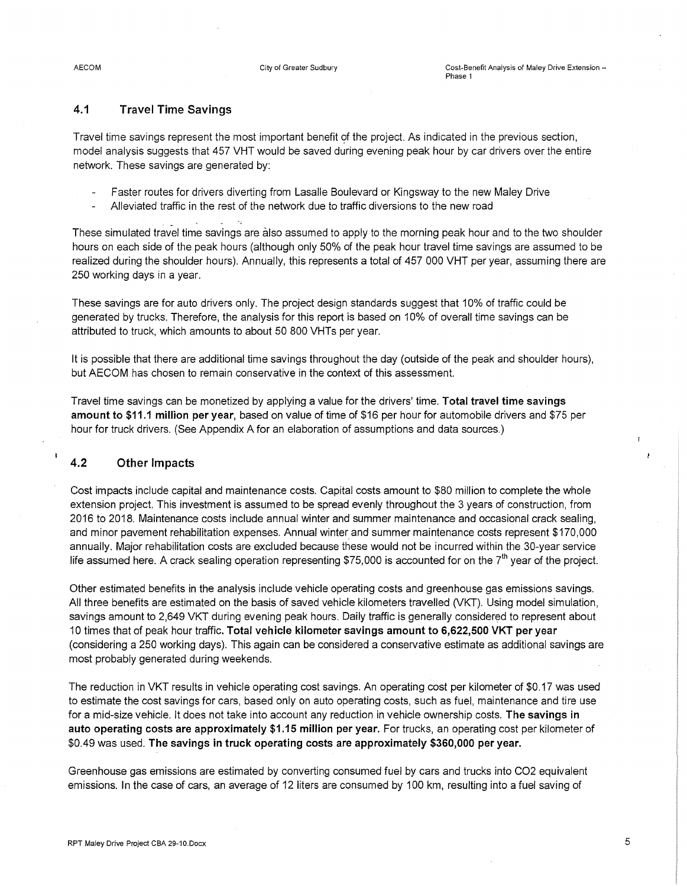### **4.1 Travel Time Savings**

Travel time savings represent the most important benefit of the project. As indicated in the previous section, model analysis suggests that 457 VHT would be saved during evening peak hour by car drivers over the entire network. These savings are generated by:

- Faster routes for drivers diverting from Lasalle Boulevard or Kingsway to the new Maley Drive
- Alleviated traffic in the rest of the network due to traffic diversions to the new road

These simulated travel time savings are also assumed to apply to the morning peak hour and to the two shoulder hours on each side of the peak hours (although only 50% of the peak hour travel time savings are assumed to be realized during the shoulder hours). Annually, this represents a total of 457 000 VHT per year, assuming there are 250 working days in a year.

These savings are for auto drivers only. The project design standards suggest that 10% of traffic could be generated by trucks. Therefore, the analysis for this report is based on 10% of overall time savings can be attributed to truck, which amounts to about 50 800 VHTs per year.

It is possible that there are additional time savings throughout the day (outside of the peak and shoulder hours), but AECOM has chosen to remain conservative in the context of this assessment.

Travel time savings can be monetized by applying a value for the drivers' time. **Total travel time savings amount to \$11.1 million per year,** based on value of time of \$16 per hour for automobile drivers and \$75 per hour for truck drivers. (See Appendix A for an elaboration of assumptions and data sources.)

### **4.2 Other Impacts**

 $\overline{\phantom{a}}$ 

Cost impacts include capital and maintenance costs. Capital costs amount to \$80 million to complete the whole extension project. This investment is assumed to be spread evenly throughout the 3 years of construction, from 2016 to 2018. Maintenance costs include annual winter and summer maintenance and occasional crack sealing, and minor pavement rehabilitation expenses. Annual winter and summer maintenance costs represent \$170,000 annually. Major rehabilitation costs are excluded because these would not be incurred within the 30-year service life assumed here. A crack sealing operation representing \$75,000 is accounted for on the  $7<sup>th</sup>$  year of the project.

Other estimated benefits in the analysis include vehicle operating costs and greenhouse gas emissions savings. All three benefits are estimated on the basis of saved vehicle kilometers travelled (VKT). Using model simulation, savings amount to 2,649 VKT during evening peak hours. Daily traffic is generally considered to represent about 10 times that of peak hour traffic. **Total vehicle kilometer savings amount to 6,622,500 VKT per year**  (considering a 250 working days). This again can be considered a conservative estimate as additional savings are most probably generated during weekends.

The reduction in VKT results in vehicle operating cost savings. An operating cost per kilometer of \$0.17 was used to estimate the cost savings for cars, based only on auto operating costs, such as fuel, maintenance and tire use for a mid-size vehicle. It does not take into account any reduction in vehicle ownership costs. **The savings in auto operating costs are approximately \$1.15 million per year.** For trucks, an operating cost per kilometer of \$0.49 was used. **The savings in truck operating costs are approximately \$360,000 per year.** 

Greenhouse gas emissions are estimated by converting consumed fuel by cars and trucks into C02 equivalent emissions. In the case of cars, an average of 12 liters are consumed by 100 km, resulting into a fuel saving of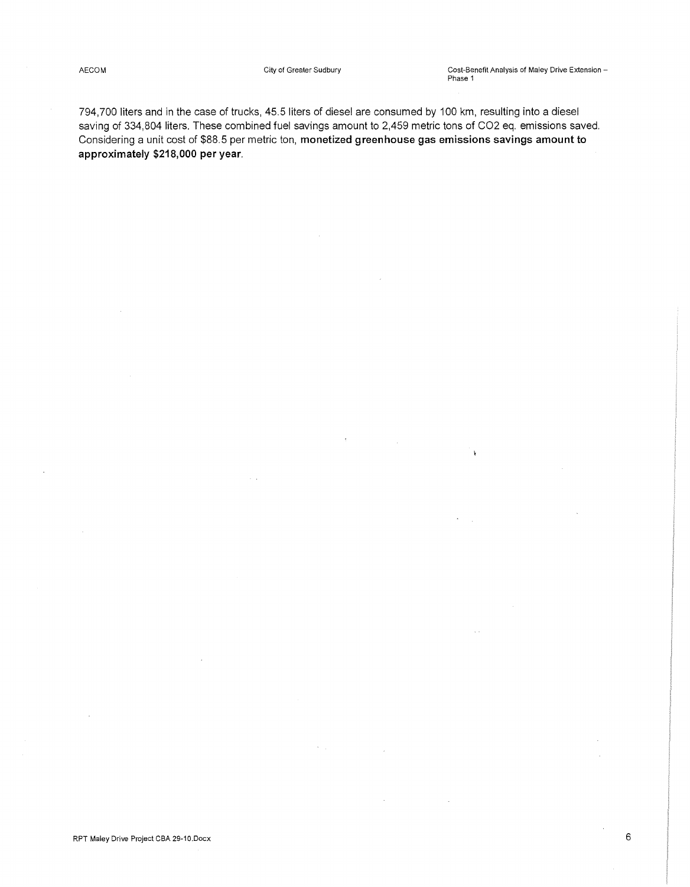$\mathbf{V}$ 

 $\ddot{\phantom{a}}$ 

794,700 liters and in the case of trucks, 45.5 liters of diesel are consumed by 100 km, resulting into a diesel saving of 334,804 liters. These combined fuel savings amount to 2,459 metric tons of C02 eq. emissions saved. Considering a unit cost of \$88.5 per metric ton, **monetized greenhouse gas emissions savings amount to approximately \$218,000 per year.** 

 $\epsilon_{\rm{max}}$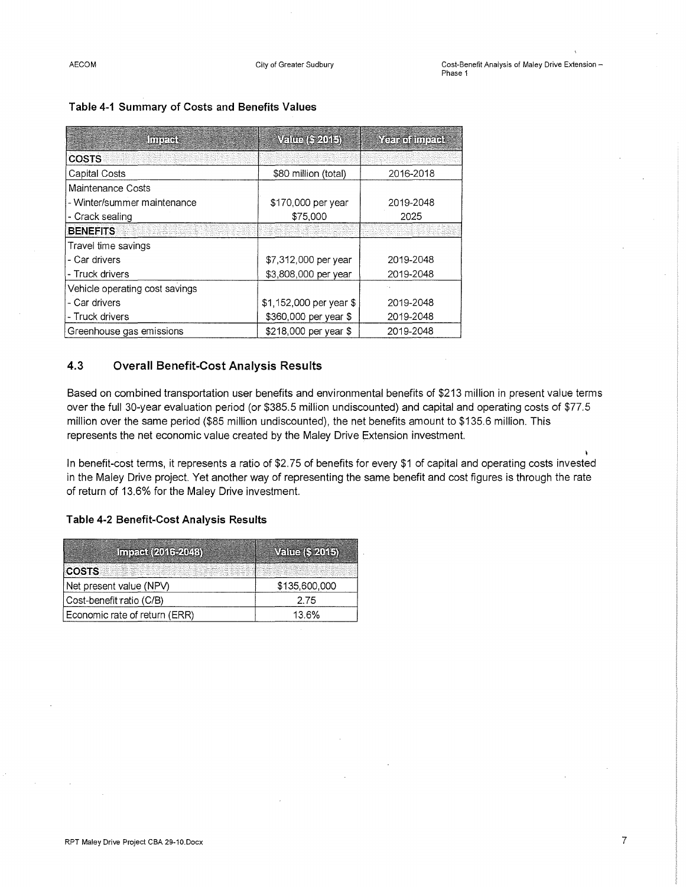| Inferies                       | Value (\$ 2015)         | <b>Yezh of Impact</b> |
|--------------------------------|-------------------------|-----------------------|
| <b>COSTS</b>                   |                         |                       |
| <b>Capital Costs</b>           | \$80 million (total)    | 2016-2018             |
| Maintenance Costs              |                         |                       |
| - Winter/summer maintenance    | \$170,000 per year      | 2019-2048             |
| - Crack sealing                | \$75,000                | 2025                  |
| <b>BENEFITS</b>                |                         |                       |
| Travel time savings            |                         |                       |
| - Car drivers                  | \$7,312,000 per year    | 2019-2048             |
| - Truck drivers                | \$3,808,000 per year    | 2019-2048             |
| Vehicle operating cost savings |                         |                       |
| - Car drivers                  | \$1,152,000 per year \$ | 2019-2048             |
| - Truck drivers                | \$360,000 per year \$   | 2019-2048             |
| Greenhouse gas emissions       | \$218,000 per year \$   | 2019-2048             |

#### **Table 4-1 Summary of Costs and Benefits Values**

### **4.3 Overall Benefit-Cost Analysis Results**

Based on combined transportation user benefits and environmental benefits of \$213 million in present value terms over the full 30-year evaluation period (or \$385.5 million undiscounted) and capital and operating costs of \$77.5 million over the same period (\$85 million undiscounted), the net benefits amount to \$135.6 million. This represents the net economic value created by the Maley Drive Extension investment.

l In benefit-cost terms, it represents a ratio of \$2.75 of benefits for every \$1 of capital and operating costs invested in the Maley Drive project. Yet another way of representing the same benefit and cost figures is through the rate of return of 13.6% for the Maley Drive investment.

#### **Table 4-2 Benefit-Cost Analysis Results**

| <b>Impact (2016-2048)</b>     | Value (\$ 2015) |
|-------------------------------|-----------------|
| <b>COSTS</b>                  |                 |
| Net present value (NPV)       | \$135,600,000   |
| Cost-benefit ratio (C/B)      | 2.75            |
| Economic rate of return (ERR) | 13.6%           |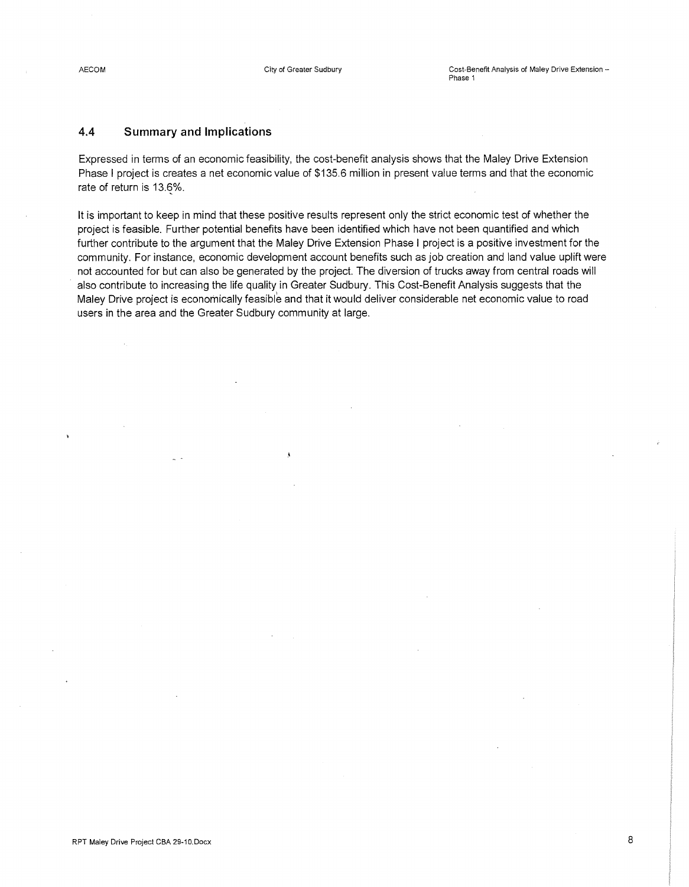### 4.4 **Summary and Implications**

Expressed in terms of an economic feasibility, the cost-benefit analysis shows that the Maley Drive Extension Phase I project is creates a net economic value of \$135.6 million in present value terms and that the economic rate of return is 13.6%.

It is important to keep in mind that these positive results represent only the strict economic test of whether the project is feasible. Further potential benefits have been identified which have not been quantified and which further contribute to the argument that the Maley Drive Extension Phase I project is a positive investment for the community. For instance, economic development account benefits such as job creation and land value uplift were not accounted for but can also be generated by the project. The diversion of trucks away from central roads will also contribute to increasing the life quality in Greater Sudbury. This Cost-Benefit Analysis suggests that the Maley Drive project is economically feasible and that it would deliver considerable net economic value to road users in the area and the Greater Sudbury community at large.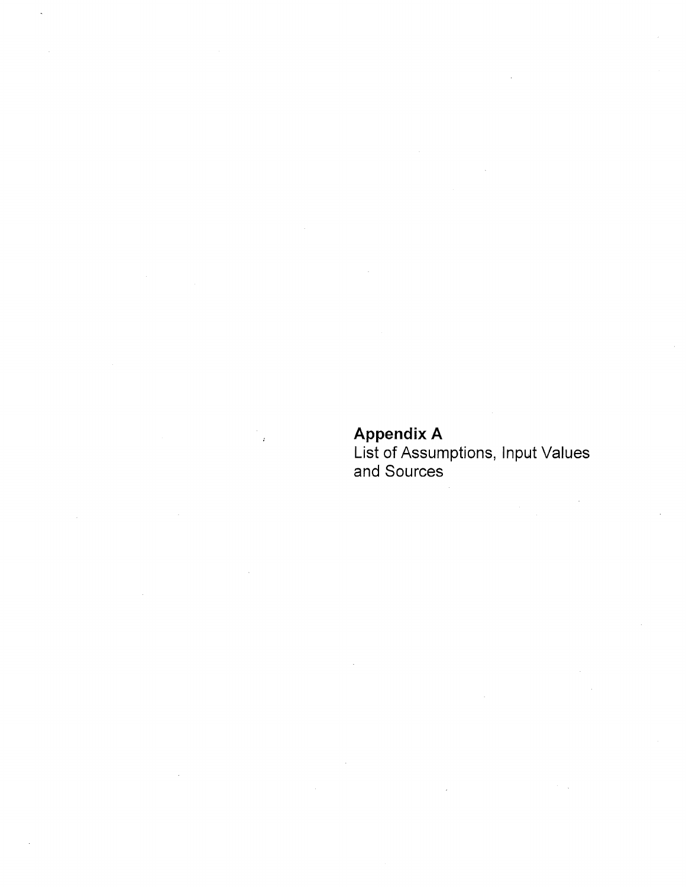### **Appendix A**

 $\mathbf{r}$ 

List of Assumptions, Input Values and Sources